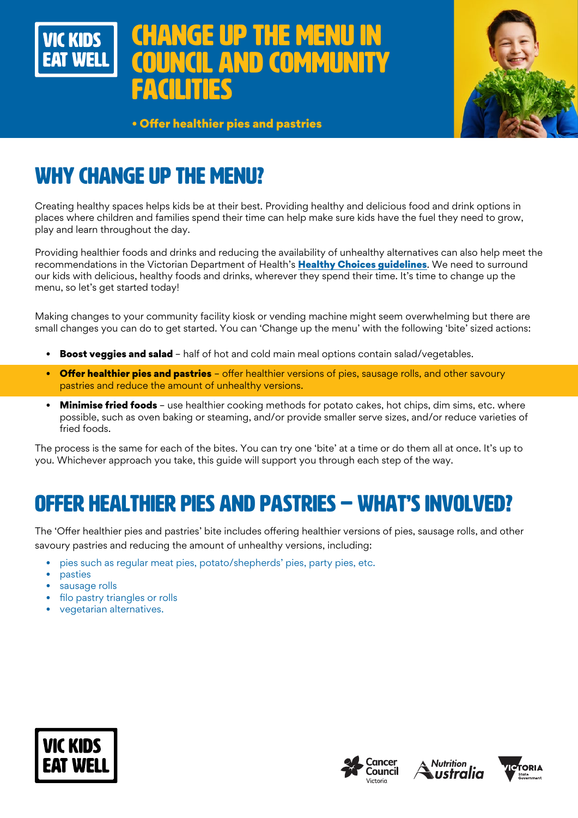

# E UP THE MEN **AND COMMUN** facilities



• Offer healthier pies and pastries

# WHY CHANGE UP THE MENU?

Creating healthy spaces helps kids be at their best. Providing healthy and delicious food and drink options in places where children and families spend their time can help make sure kids have the fuel they need to grow, play and learn throughout the day.

Providing healthier foods and drinks and reducing the availability of unhealthy alternatives can also help meet the recommendations in the Victorian Department of Health's Healthy Choices guidelines. We need to surround our kids with delicious, healthy foods and drinks, wherever they spend their time. It's time to change up the menu, so let's get started today!

Making changes to your community facility kiosk or vending machine might seem overwhelming but there are small changes you can do to get started. You can 'Change up the menu' with the following 'bite' sized actions:

- **Boost veggies and salad** half of hot and cold main meal options contain salad/vegetables.
- Offer healthier pies and pastries offer healthier versions of pies, sausage rolls, and other savoury pastries and reduce the amount of unhealthy versions.
- Minimise fried foods use healthier cooking methods for potato cakes, hot chips, dim sims, etc. where possible, such as oven baking or steaming, and/or provide smaller serve sizes, and/or reduce varieties of fried foods.

The process is the same for each of the bites. You can try one 'bite' at a time or do them all at once. It's up to you. Whichever approach you take, this guide will support you through each step of the way.

# OFFER HEALTHIER PIES AND PASTRIES – WHAT'S INVOLVED?

The 'Offer healthier pies and pastries' bite includes offering healthier versions of pies, sausage rolls, and other savoury pastries and reducing the amount of unhealthy versions, including:

- pies such as regular meat pies, potato/shepherds' pies, party pies, etc.
- pasties
- sausage rolls
- filo pastry triangles or rolls
- vegetarian alternatives.







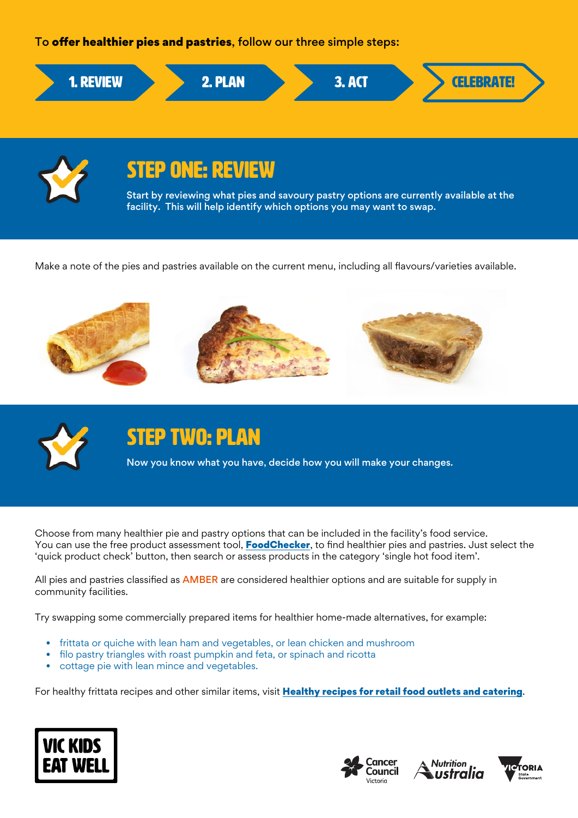### To offer healthier pies and pastries, follow our three simple steps:





# STEP ONE: REVIEW

Start by reviewing what pies and savoury pastry options are currently available at the facility. This will help identify which options you may want to swap.

Make a note of the pies and pastries available on the current menu, including all flavours/varieties available.





# STEP TWO: PLAN

Now you know what you have, decide how you will make your changes.

Choose from many healthier pie and pastry options that can be included in the facility's food service. You can use the free product assessment tool, **[FoodChecker](https://foodchecker.heas.health.vic.gov.au/)**, to find healthier pies and pastries. Just select the 'quick product check' button, then search or assess products in the category 'single hot food item'.

All pies and pastries classified as **AMBER** are considered healthier options and are suitable for supply in community facilities.

Try swapping some commercially prepared items for healthier home-made alternatives, for example:

- frittata or quiche with lean ham and vegetables, or lean chicken and mushroom
- filo pastry triangles with roast pumpkin and feta, or spinach and ricotta
- cottage pie with lean mince and vegetables.

For healthy frittata recipes and other similar items, visit [Healthy recipes for retail food outlets and catering](http://heas.health.vic.gov.au/food-outlets-caterers-vending/recipes).







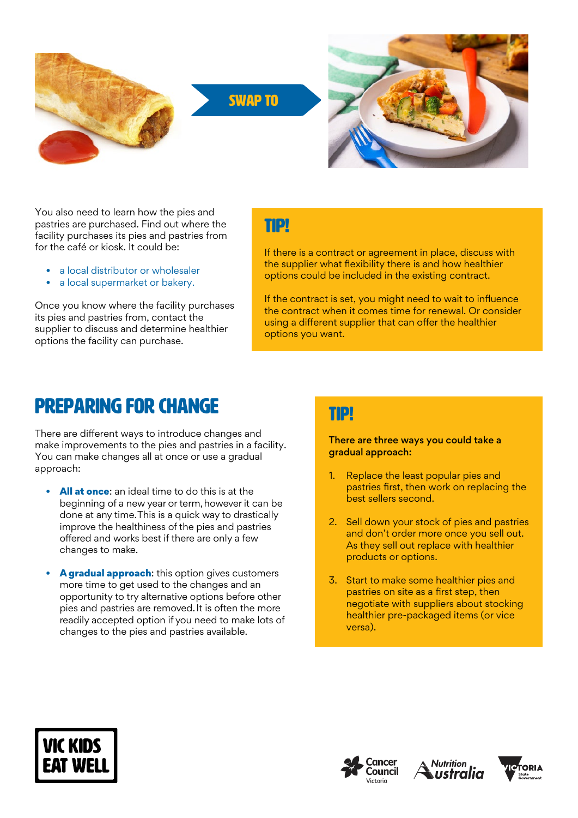

You also need to learn how the pies and pastries are purchased. Find out where the facility purchases its pies and pastries from for the café or kiosk. It could be:

- a local distributor or wholesaler
- a local supermarket or bakery.

Once you know where the facility purchases its pies and pastries from, contact the supplier to discuss and determine healthier options the facility can purchase.

### TIP!

If there is a contract or agreement in place, discuss with the supplier what flexibility there is and how healthier options could be included in the existing contract.

If the contract is set, you might need to wait to influence the contract when it comes time for renewal. Or consider using a different supplier that can offer the healthier options you want.

## Preparing for change

There are different ways to introduce changes and make improvements to the pies and pastries in a facility. You can make changes all at once or use a gradual approach:

- All at once: an ideal time to do this is at the beginning of a new year or term, however it can be done at any time. This is a quick way to drastically improve the healthiness of the pies and pastries offered and works best if there are only a few changes to make.
- A gradual approach: this option gives customers more time to get used to the changes and an opportunity to try alternative options before other pies and pastries are removed. It is often the more readily accepted option if you need to make lots of changes to the pies and pastries available.

### TIP!

There are three ways you could take a gradual approach:

- 1. Replace the least popular pies and pastries first, then work on replacing the best sellers second.
- 2. Sell down your stock of pies and pastries and don't order more once you sell out. As they sell out replace with healthier products or options.
- 3. Start to make some healthier pies and pastries on site as a first step, then negotiate with suppliers about stocking healthier pre-packaged items (or vice versa).







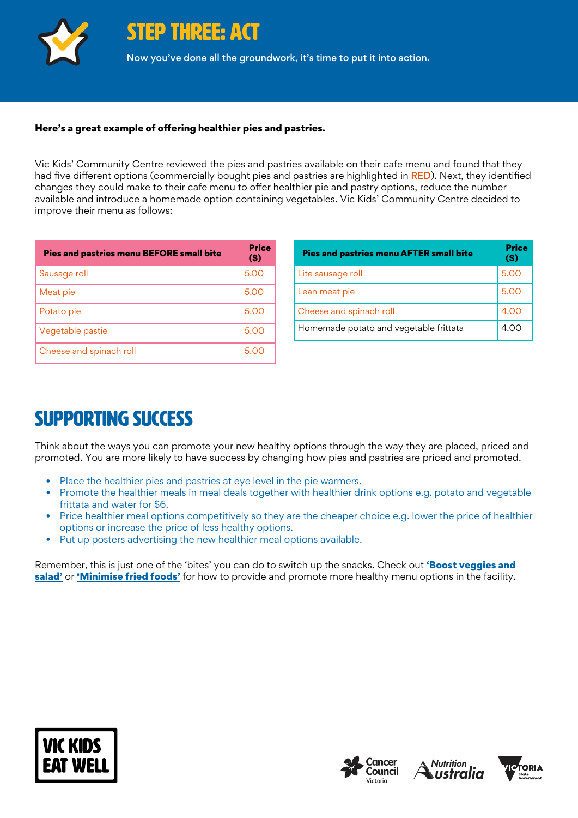

STEP THREE: ACT

Now you've done all the groundwork, it's time to put it into action.

### Here's a great example of offering healthier pies and pastries.

Vic Kids' Community Centre reviewed the pies and pastries available on their cafe menu and found that they had five different options (commercially bought pies and pastries are highlighted in RED). Next, they identified changes they could make to their cafe menu to offer healthier pie and pastry options, reduce the number available and introduce a homemade option containing vegetables. Vic Kids' Community Centre decided to improve their menu as follows:

| <b>Pies and pastries menu BEFORE small bite</b> | <b>Price</b><br>$($)$ |
|-------------------------------------------------|-----------------------|
| Sausage roll                                    | 5.00                  |
| Meat pie                                        | 5.00                  |
| Potato pie                                      | 5.00                  |
| Vegetable pastie                                | 5.00                  |
| Cheese and spinach roll                         | 5.00                  |

| <b>Pies and pastries menu AFTER small bite</b> | Price<br>$($)$ |
|------------------------------------------------|----------------|
| Lite sausage roll                              | 5.00           |
| Lean meat pie                                  | 5.00           |
| Cheese and spinach roll                        | 4.00           |
| Homemade potato and vegetable frittata         | 4.00           |

## SUPPORTING SUCCESS

Think about the ways you can promote your new healthy options through the way they are placed, priced and promoted. You are more likely to have success by changing how pies and pastries are priced and promoted.

- Place the healthier pies and pastries at eye level in the pie warmers.
- Promote the healthier meals in meal deals together with healthier drink options e.g. potato and vegetable frittata and water for \$6.
- Price healthier meal options competitively so they are the cheaper choice e.g. lower the price of healthier options or increase the price of less healthy options.
- Put up posters advertising the new healthier meal options available.

Remember, this is just one of the 'bites' you can do to switch up the snacks. Check out 'Boost veggies and [salad'](https://www.vickidseatwell.health.vic.gov.au/resources) or ['Minimise fried foods'](https://www.vickidseatwell.health.vic.gov.au/resources) for how to provide and promote more healthy menu options in the facility.